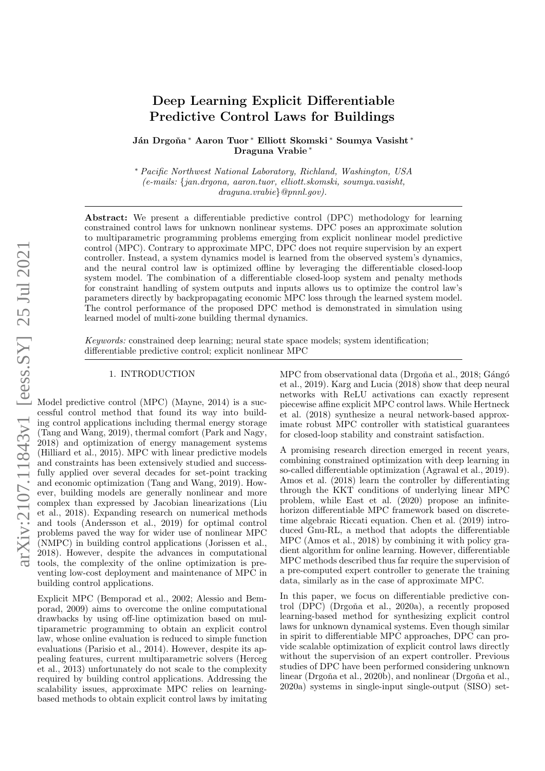# arXiv:2107.11843v1 [eess.SY] 25 Jul 2021 arXiv:2107.11843v1 [eess.SY] 25 Jul 2021

# Deep Learning Explicit Differentiable Predictive Control Laws for Buildings

Ján Drgoňa \* Aaron Tuor \* Elliott Skomski \* Soumya Vasisht \* Draguna Vrabie <sup>∗</sup>

<sup>∗</sup> Pacific Northwest National Laboratory, Richland, Washington, USA (e-mails: {jan.drgona, aaron.tuor, elliott.skomski, soumya.vasisht, draguna.vrabie}@pnnl.gov).

Abstract: We present a differentiable predictive control (DPC) methodology for learning constrained control laws for unknown nonlinear systems. DPC poses an approximate solution to multiparametric programming problems emerging from explicit nonlinear model predictive control (MPC). Contrary to approximate MPC, DPC does not require supervision by an expert controller. Instead, a system dynamics model is learned from the observed system's dynamics, and the neural control law is optimized offline by leveraging the differentiable closed-loop system model. The combination of a differentiable closed-loop system and penalty methods for constraint handling of system outputs and inputs allows us to optimize the control law's parameters directly by backpropagating economic MPC loss through the learned system model. The control performance of the proposed DPC method is demonstrated in simulation using learned model of multi-zone building thermal dynamics.

Keywords: constrained deep learning; neural state space models; system identification; differentiable predictive control; explicit nonlinear MPC

#### 1. INTRODUCTION

Model predictive control (MPC) (Mayne, 2014) is a successful control method that found its way into building control applications including thermal energy storage (Tang and Wang, 2019), thermal comfort (Park and Nagy, 2018) and optimization of energy management systems (Hilliard et al., 2015). MPC with linear predictive models and constraints has been extensively studied and successfully applied over several decades for set-point tracking and economic optimization (Tang and Wang, 2019). However, building models are generally nonlinear and more complex than expressed by Jacobian linearizations (Liu et al., 2018). Expanding research on numerical methods and tools (Andersson et al., 2019) for optimal control problems paved the way for wider use of nonlinear MPC (NMPC) in building control applications (Jorissen et al., 2018). However, despite the advances in computational tools, the complexity of the online optimization is preventing low-cost deployment and maintenance of MPC in building control applications.

Explicit MPC (Bemporad et al., 2002; Alessio and Bemporad, 2009) aims to overcome the online computational drawbacks by using off-line optimization based on multiparametric programming to obtain an explicit control law, whose online evaluation is reduced to simple function evaluations (Parisio et al., 2014). However, despite its appealing features, current multiparametric solvers (Herceg et al., 2013) unfortunately do not scale to the complexity required by building control applications. Addressing the scalability issues, approximate MPC relies on learningbased methods to obtain explicit control laws by imitating MPC from observational data (Drgoña et al., 2018; Gángó et al., 2019). Karg and Lucia (2018) show that deep neural networks with ReLU activations can exactly represent piecewise affine explicit MPC control laws. While Hertneck et al. (2018) synthesize a neural network-based approximate robust MPC controller with statistical guarantees for closed-loop stability and constraint satisfaction.

A promising research direction emerged in recent years, combining constrained optimization with deep learning in so-called differentiable optimization (Agrawal et al., 2019). Amos et al. (2018) learn the controller by differentiating through the KKT conditions of underlying linear MPC problem, while East et al. (2020) propose an infinitehorizon differentiable MPC framework based on discretetime algebraic Riccati equation. Chen et al. (2019) introduced Gnu-RL, a method that adopts the differentiable MPC (Amos et al., 2018) by combining it with policy gradient algorithm for online learning. However, differentiable MPC methods described thus far require the supervision of a pre-computed expert controller to generate the training data, similarly as in the case of approximate MPC.

In this paper, we focus on differentiable predictive control (DPC) (Drgoña et al., 2020a), a recently proposed learning-based method for synthesizing explicit control laws for unknown dynamical systems. Even though similar in spirit to differentiable MPC approaches, DPC can provide scalable optimization of explicit control laws directly without the supervision of an expert controller. Previous studies of DPC have been performed considering unknown linear (Drgoňa et al., 2020b), and nonlinear (Drgoňa et al., 2020a) systems in single-input single-output (SISO) set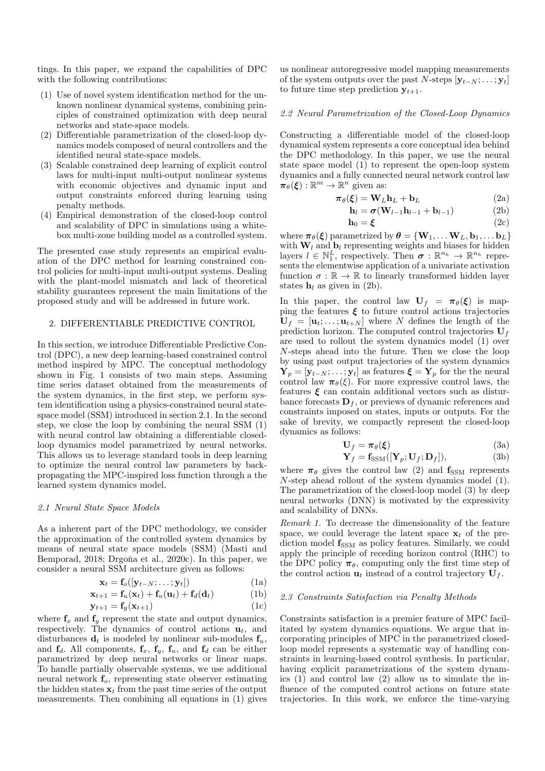tings. In this paper, we expand the capabilities of DPC with the following contributions:

- (1) Use of novel system identification method for the unknown nonlinear dynamical systems, combining principles of constrained optimization with deep neural networks and state-space models.
- (2) Differentiable parametrization of the closed-loop dynamics models composed of neural controllers and the identified neural state-space models.
- (3) Scalable constrained deep learning of explicit control laws for multi-input multi-output nonlinear systems with economic objectives and dynamic input and output constraints enforced during learning using penalty methods.
- (4) Empirical demonstration of the closed-loop control and scalability of DPC in simulations using a whitebox multi-zone building model as a controlled system.

The presented case study represents an empirical evaluation of the DPC method for learning constrained control policies for multi-input multi-output systems. Dealing with the plant-model mismatch and lack of theoretical stability guarantees represent the main limitations of the proposed study and will be addressed in future work.

### 2. DIFFERENTIABLE PREDICTIVE CONTROL

In this section, we introduce Differentiable Predictive Control (DPC), a new deep learning-based constrained control method inspired by MPC. The conceptual methodology shown in Fig. 1 consists of two main steps. Assuming time series dataset obtained from the measurements of the system dynamics, in the first step, we perform system identification using a physics-constrained neural statespace model (SSM) introduced in section 2.1. In the second step, we close the loop by combining the neural SSM (1) with neural control law obtaining a differentiable closedloop dynamics model parametrized by neural networks. This allows us to leverage standard tools in deep learning to optimize the neural control law parameters by backpropagating the MPC-inspired loss function through a the learned system dynamics model.

#### 2.1 Neural State Space Models

As a inherent part of the DPC methodology, we consider the approximation of the controlled system dynamics by means of neural state space models (SSM) (Masti and Bemporad, 2018; Drgoña et al., 2020c). In this paper, we consider a neural SSM architecture given as follows:

$$
\mathbf{x}_t = \mathbf{f}_o([\mathbf{y}_{t-N}; \dots; \mathbf{y}_t]) \tag{1a}
$$

$$
\mathbf{x}_{t+1} = \mathbf{f}_u(\mathbf{x}_t) + \mathbf{f}_u(\mathbf{u}_t) + \mathbf{f}_d(\mathbf{d}_t)
$$
 (1b)

$$
\mathbf{y}_{t+1} = \mathbf{f}_y(\mathbf{x}_{t+1}) \tag{1c}
$$

where  $f_x$  and  $f_y$  represent the state and output dynamics, respectively. The dynamics of control actions  $\mathbf{u}_t$ , and disturbances  $\mathbf{d}_t$  is modeled by nonlinear sub-modules  $\mathbf{f}_u$ , and  $f_d$ . All components,  $f_x$ ,  $f_y$ ,  $f_u$ , and  $f_d$  can be either parametrized by deep neural networks or linear maps. To handle partially observable systems, we use additional neural network  $f<sub>o</sub>$ , representing state observer estimating the hidden states  $x_t$  from the past time series of the output measurements. Then combining all equations in (1) gives us nonlinear autoregressive model mapping measurements of the system outputs over the past N-steps  $[y_{t-N}; \ldots; y_t]$ to future time step prediction  $y_{t+1}$ .

#### 2.2 Neural Parametrization of the Closed-Loop Dynamics

Constructing a differentiable model of the closed-loop dynamical system represents a core conceptual idea behind the DPC methodology. In this paper, we use the neural state space model (1) to represent the open-loop system dynamics and a fully connected neural network control law  $\pi_{\theta}(\boldsymbol{\xi}): \mathbb{R}^m \to \mathbb{R}^n$  given as:

$$
\boldsymbol{\pi}_{\theta}(\boldsymbol{\xi}) = \mathbf{W}_{L}\mathbf{h}_{L} + \mathbf{b}_{L} \tag{2a}
$$

$$
\mathbf{h}_{l} = \boldsymbol{\sigma}(\mathbf{W}_{l-1}\mathbf{h}_{l-1} + \mathbf{b}_{l-1})
$$
 (2b)

$$
\mathbf{h}_0 = \boldsymbol{\xi} \tag{2c}
$$

where  $\pi_{\theta}(\boldsymbol{\xi})$  parametrized by  $\boldsymbol{\theta} = {\bf{W}_1, \ldots W_L, \bf{b}_1, \ldots \bf{b}_L}$ with  $W_l$  and  $b_l$  representing weights and biases for hidden layers  $l \in \mathbb{N}_1^L$ , respectively. Then  $\sigma : \mathbb{R}^{n_h} \to \mathbb{R}^{n_h}$  represents the elementwise application of a univariate activation function  $\sigma:\mathbb{R}\to\mathbb{R}$  to linearly transformed hidden layer states  $h_l$  as given in (2b).

In this paper, the control law  $U_f = \pi_\theta(\xi)$  is mapping the features  $\xi$  to future control actions trajectories  $\mathbf{U}_f = [\mathbf{u}_t; \dots; \mathbf{u}_{t+N}]$  where N defines the length of the prediction horizon. The computed control trajectories  $U_f$ are used to rollout the system dynamics model (1) over N-steps ahead into the future. Then we close the loop by using past output trajectories of the system dynamics  $\mathbf{Y}_p = [\mathbf{y}_{t-N}; \ldots; \mathbf{y}_t]$  as features  $\boldsymbol{\xi} = \mathbf{Y}_p$  for the the neural control law  $\pi_{\theta}(\xi)$ . For more expressive control laws, the features  $\xi$  can contain additional vectors such as disturbance forecasts  $\mathbf{D}_f$ , or previews of dynamic references and constraints imposed on states, inputs or outputs. For the sake of brevity, we compactly represent the closed-loop dynamics as follows:

$$
\mathbf{U}_f = \boldsymbol{\pi}_{\theta}(\boldsymbol{\xi}) \tag{3a}
$$

$$
\mathbf{Y}_f = \mathbf{f}_{\text{SSM}}([\mathbf{Y}_p; \mathbf{U}_f; \mathbf{D}_f]),\tag{3b}
$$

where  $\pi_{\theta}$  gives the control law (2) and  $\mathbf{f}_{\text{SSM}}$  represents N-step ahead rollout of the system dynamics model (1). The parametrization of the closed-loop model (3) by deep neural networks (DNN) is motivated by the expressivity and scalability of DNNs.

Remark 1. To decrease the dimensionality of the feature space, we could leverage the latent space  $x_t$  of the prediction model  $f_{SSM}$  as policy features. Similarly, we could apply the principle of receding horizon control (RHC) to the DPC policy  $\pi_{\theta}$ , computing only the first time step of the control action  $\mathbf{u}_t$  instead of a control trajectory  $\mathbf{U}_f$ .

## 2.3 Constraints Satisfaction via Penalty Methods

Constraints satisfaction is a premier feature of MPC facilitated by system dynamics equations. We argue that incorporating principles of MPC in the parametrized closedloop model represents a systematic way of handling constraints in learning-based control synthesis. In particular, having explicit parametrizations of the system dynamics (1) and control law (2) allow us to simulate the influence of the computed control actions on future state trajectories. In this work, we enforce the time-varying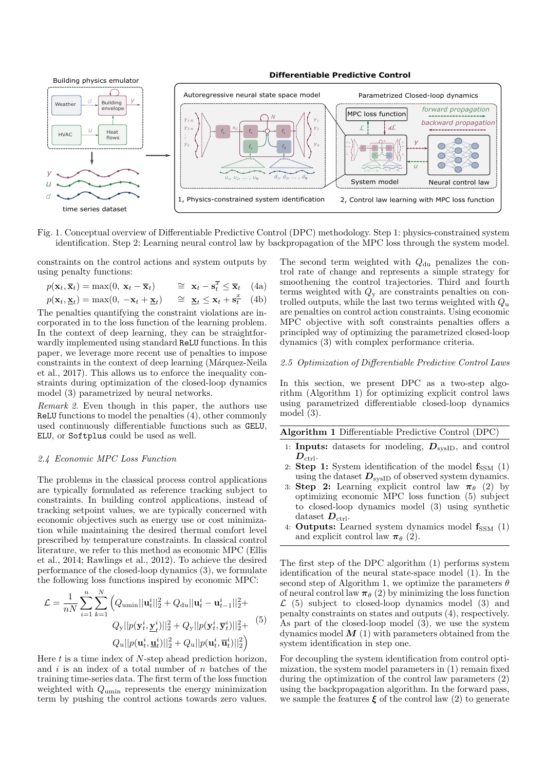**Differentiable Predictive Control**



Fig. 1. Conceptual overview of Differentiable Predictive Control (DPC) methodology. Step 1: physics-constrained system identification. Step 2: Learning neural control law by backpropagation of the MPC loss through the system model.

constraints on the control actions and system outputs by using penalty functions:

$$
p(\mathbf{x}_t, \overline{\mathbf{x}}_t) = \max(0, \ \mathbf{x}_t - \overline{\mathbf{x}}_t) \qquad \cong \ \mathbf{x}_t - \mathbf{s}_t^{\overline{x}} \le \overline{\mathbf{x}}_t \quad \text{(4a)}
$$
\n
$$
p(\mathbf{x}_t, \mathbf{\underline{x}}_t) = \max(0, \ -\mathbf{x}_t + \mathbf{\underline{x}}_t) \qquad \cong \ \mathbf{\underline{x}}_t \le \mathbf{x}_t + \mathbf{s}_t^{\underline{x}} \quad \text{(4b)}
$$

The penalties quantifying the constraint violations are incorporated in to the loss function of the learning problem. In the context of deep learning, they can be straightforwardly implemented using standard ReLU functions. In this paper, we leverage more recent use of penalties to impose constraints in the context of deep learning (Márquez-Neila et al., 2017). This allows us to enforce the inequality constraints during optimization of the closed-loop dynamics model (3) parametrized by neural networks.

Remark 2. Even though in this paper, the authors use ReLU functions to model the penalties (4), other commonly used continuously differentiable functions such as GELU, ELU, or Softplus could be used as well.

# 2.4 Economic MPC Loss Function

The problems in the classical process control applications are typically formulated as reference tracking subject to constraints. In building control applications, instead of tracking setpoint values, we are typically concerned with economic objectives such as energy use or cost minimization while maintaining the desired thermal comfort level prescribed by temperature constraints. In classical control literature, we refer to this method as economic MPC (Ellis et al., 2014; Rawlings et al., 2012). To achieve the desired performance of the closed-loop dynamics (3), we formulate the following loss functions inspired by economic MPC:

$$
\mathcal{L} = \frac{1}{nN} \sum_{i=1}^{n} \sum_{k=1}^{N} \left( Q_{\text{umin}} ||\mathbf{u}_{t}^{i}||_{2}^{2} + Q_{\text{du}} ||\mathbf{u}_{t}^{i} - \mathbf{u}_{t-1}^{i}||_{2}^{2} + Q_{\text{yu}} ||p(\mathbf{y}_{t}^{i}, \mathbf{y}_{t}^{i})||_{2}^{2} + Q_{\text{yu}} ||p(\mathbf{y}_{t}^{i}, \mathbf{y}_{t}^{i})||_{2}^{2} + Q_{\text{yu}} ||p(\mathbf{u}_{t}^{i}, \mathbf{u}_{t}^{i})||_{2}^{2} \right)
$$
\n
$$
Q_{\text{u}} ||p(\mathbf{u}_{t}^{i}, \mathbf{u}_{t}^{i})||_{2}^{2} + Q_{\text{u}} ||p(\mathbf{u}_{t}^{i}, \mathbf{\bar{u}}_{t}^{i})||_{2}^{2} \right)
$$
\n(5)

Here  $t$  is a time index of  $N$ -step ahead prediction horizon, and  $i$  is an index of a total number of  $n$  batches of the training time-series data. The first term of the loss function weighted with Qumin represents the energy minimization term by pushing the control actions towards zero values. The second term weighted with  $Q_{\text{du}}$  penalizes the control rate of change and represents a simple strategy for smoothening the control trajectories. Third and fourth terms weighted with  $Q_y$  are constraints penalties on controlled outputs, while the last two terms weighted with  $Q_{\rm u}$ are penalties on control action constraints. Using economic MPC objective with soft constraints penalties offers a principled way of optimizing the parametrized closed-loop dynamics (3) with complex performance criteria.

# 2.5 Optimization of Differentiable Predictive Control Laws

In this section, we present DPC as a two-step algorithm (Algorithm 1) for optimizing explicit control laws using parametrized differentiable closed-loop dynamics model (3).

| <b>Algorithm 1</b> Differentiable Predictive Control (DPC) |  |  |  |
|------------------------------------------------------------|--|--|--|
|------------------------------------------------------------|--|--|--|

- 1: **Inputs:** datasets for modeling,  $D_{\text{svsID}}$ , and control  $D_{\text{ctrl}}$ .
- 2: Step 1: System identification of the model  $f_{SSM}$  (1) using the dataset  $D_{\text{svsID}}$  of observed system dynamics.
- 3: Step 2: Learning explicit control law  $\pi_{\theta}$  (2) by optimizing economic MPC loss function (5) subject to closed-loop dynamics model (3) using synthetic dataset  $D_{\text{ctrl}}$ .
- 4: **Outputs:** Learned system dynamics model  $f_{SSM}$  (1) and explicit control law  $\pi_{\theta}$  (2).

The first step of the DPC algorithm (1) performs system identification of the neural state-space model (1). In the second step of Algorithm 1, we optimize the parameters  $\theta$ of neural control law  $\pi_{\theta}$  (2) by minimizing the loss function  $\mathcal{L}$  (5) subject to closed-loop dynamics model (3) and penalty constraints on states and outputs (4), respectively. As part of the closed-loop model (3), we use the system dynamics model  $M(1)$  with parameters obtained from the system identification in step one.

For decoupling the system identification from control optimization, the system model parameters in (1) remain fixed during the optimization of the control law parameters (2) using the backpropagation algorithm. In the forward pass, we sample the features  $\xi$  of the control law (2) to generate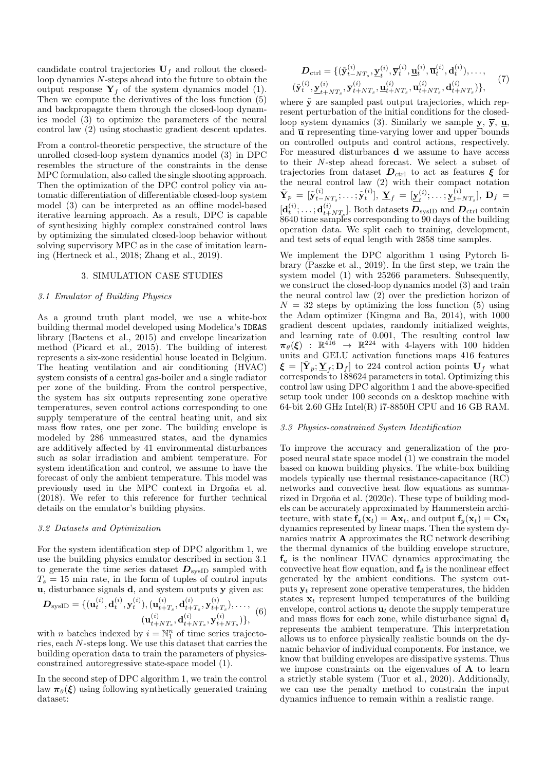candidate control trajectories  $U_f$  and rollout the closedloop dynamics N-steps ahead into the future to obtain the output response  $Y_f$  of the system dynamics model (1). Then we compute the derivatives of the loss function (5) and backpropagate them through the closed-loop dynamics model (3) to optimize the parameters of the neural control law (2) using stochastic gradient descent updates.

From a control-theoretic perspective, the structure of the unrolled closed-loop system dynamics model (3) in DPC resembles the structure of the constraints in the dense MPC formulation, also called the single shooting approach. Then the optimization of the DPC control policy via automatic differentiation of differentiable closed-loop system model (3) can be interpreted as an offline model-based iterative learning approach. As a result, DPC is capable of synthesizing highly complex constrained control laws by optimizing the simulated closed-loop behavior without solving supervisory MPC as in the case of imitation learning (Hertneck et al., 2018; Zhang et al., 2019).

# 3. SIMULATION CASE STUDIES

# 3.1 Emulator of Building Physics

As a ground truth plant model, we use a white-box building thermal model developed using Modelica's IDEAS library (Baetens et al., 2015) and envelope linearization method (Picard et al., 2015). The building of interest represents a six-zone residential house located in Belgium. The heating ventilation and air conditioning (HVAC) system consists of a central gas-boiler and a single radiator per zone of the building. From the control perspective, the system has six outputs representing zone operative temperatures, seven control actions corresponding to one supply temperature of the central heating unit, and six mass flow rates, one per zone. The building envelope is modeled by 286 unmeasured states, and the dynamics are additively affected by 41 environmental disturbances such as solar irradiation and ambient temperature. For system identification and control, we assume to have the forecast of only the ambient temperature. This model was previously used in the MPC context in Drgoña et al. (2018). We refer to this reference for further technical details on the emulator's building physics.

#### 3.2 Datasets and Optimization

For the system identification step of DPC algorithm 1, we use the building physics emulator described in section 3.1 to generate the time series dataset  $D_{\text{svsID}}$  sampled with  $T_s = 15$  min rate, in the form of tuples of control inputs u, disturbance signals d, and system outputs y given as:

$$
\mathbf{D}_{\text{sysID}} = \{(\mathbf{u}_t^{(i)}, \mathbf{d}_t^{(i)}, \mathbf{y}_t^{(i)}), (\mathbf{u}_{t+T_s}^{(i)}, \mathbf{d}_{t+T_s}^{(i)}, \mathbf{y}_{t+T_s}^{(i)}), \dots, \newline (\mathbf{u}_{t+NT_s}^{(i)}, \mathbf{d}_{t+NT_s}^{(i)}, \mathbf{y}_{t+NT_s}^{(i)})\},
$$
(6)

with *n* batches indexed by  $i = \mathbb{N}_1^n$  of time series trajectories, each N-steps long. We use this dataset that carries the building operation data to train the parameters of physicsconstrained autoregressive state-space model (1).

In the second step of DPC algorithm 1, we train the control law  $\pi_{\theta}(\xi)$  using following synthetically generated training dataset:

$$
D_{\text{ctrl}} = \{ (\tilde{\mathbf{y}}_{t-NT_s}^{(i)}, \mathbf{y}_t^{(i)}, \overline{\mathbf{y}}_t^{(i)}, \mathbf{u}_t^{(i)}, \overline{\mathbf{u}}_t^{(i)}, \mathbf{d}_t^{(i)}), \dots, (\tilde{\mathbf{y}}_t^{(i)}, \mathbf{y}_{t+NT_s}^{(i)}, \overline{\mathbf{y}}_{t+NT_s}^{(i)}, \mathbf{u}_{t+NT_s}^{(i)}, \overline{\mathbf{u}}_{t+NT_s}^{(i)}, \mathbf{d}_{t+NT_s}^{(i)}) \},
$$
(7)

where  $\tilde{y}$  are sampled past output trajectories, which represent perturbation of the initial conditions for the closedloop system dynamics (3). Similarly we sample y,  $\overline{y}$ ,  $\underline{u}$ , and  $\overline{u}$  representing time-varying lower and upper bounds on controlled outputs and control actions, respectively. For measured disturbances d we assume to have access to their N-step ahead forecast. We select a subset of trajectories from dataset  $D_{\text{ctrl}}$  to act as features  $\xi$  for the neural control law (2) with their compact notation  $\tilde{\mathbf{Y}}_p \,=\, [\tilde{\mathbf{y}}_{t-}^{(i)}$  $_{t-NT_s}^{(i)}; \ldots; \tilde{\textbf{y}}_t^{(i)}],\ \underline{\textbf{Y}}_f \ = \ [\underline{\textbf{y}}_t^{(i)}]$  $\mathbf{y}_t^{(i)};\ldots;\mathbf{y}_{t+1}^{(i)}$  $_{t+NT_s}^{\left( t \right)} \}, \ \mathbf{D}_f \ =$  $[\mathbf{d}_t^{(i)};\ldots;\mathbf{d}_{t+}^{(i)}]$  $\left(t_{t+NT_s}^{(t)}\right]$ . Both datasets  $\boldsymbol{D}_{\text{sysID}}$  and  $\boldsymbol{D}_{\text{ctrl}}$  contain 8640 time samples corresponding to 90 days of the building operation data. We split each to training, development, and test sets of equal length with 2858 time samples.

We implement the DPC algorithm 1 using Pytorch library (Paszke et al., 2019). In the first step, we train the system model (1) with 25266 parameters. Subsequently, we construct the closed-loop dynamics model (3) and train the neural control law (2) over the prediction horizon of  $N = 32$  steps by optimizing the loss function (5) using the Adam optimizer (Kingma and Ba, 2014), with 1000 gradient descent updates, randomly initialized weights, and learning rate of 0.001, The resulting control law  $\pi_{\theta}(\xi)$  :  $\mathbb{R}^{416} \rightarrow \mathbb{R}^{224}$  with 4-layers with 100 hidden units and GELU activation functions maps 416 features  $\boldsymbol{\xi} = [\tilde{\mathbf{Y}}_p; \underline{\mathbf{Y}}_f; \mathbf{D}_f]$  to 224 control action points  $\mathbf{U}_f$  what corresponds to 188624 parameters in total. Optimizing this control law using DPC algorithm 1 and the above-specified setup took under 100 seconds on a desktop machine with 64-bit 2.60 GHz Intel(R) i7-8850H CPU and 16 GB RAM.

#### 3.3 Physics-constrained System Identification

To improve the accuracy and generalization of the proposed neural state space model (1) we constrain the model based on known building physics. The white-box building models typically use thermal resistance-capacitance (RC) networks and convective heat flow equations as summarized in Drgoña et al. (2020c). These type of building models can be accurately approximated by Hammerstein architecture, with state  $f_x(\mathbf{x}_t) = \mathbf{A}\mathbf{x}_t$ , and output  $f_y(\mathbf{x}_t) = \mathbf{C}\mathbf{x}_t$ dynamics represented by linear maps. Then the system dynamics matrix A approximates the RC network describing the thermal dynamics of the building envelope structure,  $f_u$  is the nonlinear HVAC dynamics approximating the convective heat flow equation, and  $f_d$  is the nonlinear effect generated by the ambient conditions. The system outputs  $y_t$  represent zone operative temperatures, the hidden states  $x_t$  represent lumped temperatures of the building envelope, control actions  $\mathbf{u}_t$  denote the supply temperature and mass flows for each zone, while disturbance signal  $\mathbf{d}_t$ represents the ambient temperature. This interpretation allows us to enforce physically realistic bounds on the dynamic behavior of individual components. For instance, we know that building envelopes are dissipative systems. Thus we impose constraints on the eigenvalues of A to learn a strictly stable system (Tuor et al., 2020). Additionally, we can use the penalty method to constrain the input dynamics influence to remain within a realistic range.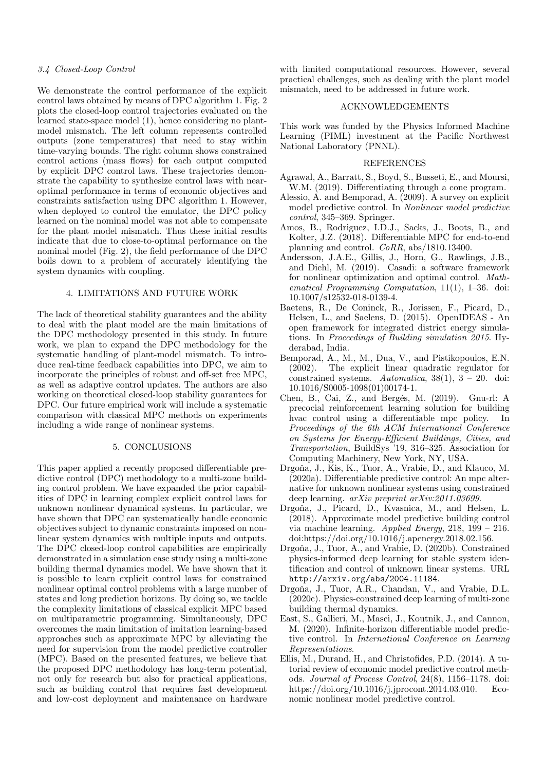# 3.4 Closed-Loop Control

We demonstrate the control performance of the explicit control laws obtained by means of DPC algorithm 1. Fig. 2 plots the closed-loop control trajectories evaluated on the learned state-space model (1), hence considering no plantmodel mismatch. The left column represents controlled outputs (zone temperatures) that need to stay within time-varying bounds. The right column shows constrained control actions (mass flows) for each output computed by explicit DPC control laws. These trajectories demonstrate the capability to synthesize control laws with nearoptimal performance in terms of economic objectives and constraints satisfaction using DPC algorithm 1. However, when deployed to control the emulator, the DPC policy learned on the nominal model was not able to compensate for the plant model mismatch. Thus these initial results indicate that due to close-to-optimal performance on the nominal model (Fig. 2), the field performance of the DPC boils down to a problem of accurately identifying the system dynamics with coupling.

#### 4. LIMITATIONS AND FUTURE WORK

The lack of theoretical stability guarantees and the ability to deal with the plant model are the main limitations of the DPC methodology presented in this study. In future work, we plan to expand the DPC methodology for the systematic handling of plant-model mismatch. To introduce real-time feedback capabilities into DPC, we aim to incorporate the principles of robust and off-set free MPC, as well as adaptive control updates. The authors are also working on theoretical closed-loop stability guarantees for DPC. Our future empirical work will include a systematic comparison with classical MPC methods on experiments including a wide range of nonlinear systems.

# 5. CONCLUSIONS

This paper applied a recently proposed differentiable predictive control (DPC) methodology to a multi-zone building control problem. We have expanded the prior capabilities of DPC in learning complex explicit control laws for unknown nonlinear dynamical systems. In particular, we have shown that DPC can systematically handle economic objectives subject to dynamic constraints imposed on nonlinear system dynamics with multiple inputs and outputs. The DPC closed-loop control capabilities are empirically demonstrated in a simulation case study using a multi-zone building thermal dynamics model. We have shown that it is possible to learn explicit control laws for constrained nonlinear optimal control problems with a large number of states and long prediction horizons. By doing so, we tackle the complexity limitations of classical explicit MPC based on multiparametric programming. Simultaneously, DPC overcomes the main limitation of imitation learning-based approaches such as approximate MPC by alleviating the need for supervision from the model predictive controller (MPC). Based on the presented features, we believe that the proposed DPC methodology has long-term potential, not only for research but also for practical applications, such as building control that requires fast development and low-cost deployment and maintenance on hardware

with limited computational resources. However, several practical challenges, such as dealing with the plant model mismatch, need to be addressed in future work.

#### ACKNOWLEDGEMENTS

This work was funded by the Physics Informed Machine Learning (PIML) investment at the Pacific Northwest National Laboratory (PNNL).

# REFERENCES

- Agrawal, A., Barratt, S., Boyd, S., Busseti, E., and Moursi, W.M. (2019). Differentiating through a cone program.
- Alessio, A. and Bemporad, A. (2009). A survey on explicit model predictive control. In Nonlinear model predictive control, 345–369. Springer.
- Amos, B., Rodriguez, I.D.J., Sacks, J., Boots, B., and Kolter, J.Z. (2018). Differentiable MPC for end-to-end planning and control. CoRR, abs/1810.13400.
- Andersson, J.A.E., Gillis, J., Horn, G., Rawlings, J.B., and Diehl, M. (2019). Casadi: a software framework for nonlinear optimization and optimal control. Mathematical Programming Computation, 11(1), 1–36. doi: 10.1007/s12532-018-0139-4.
- Baetens, R., De Coninck, R., Jorissen, F., Picard, D., Helsen, L., and Saelens, D. (2015). OpenIDEAS - An open framework for integrated district energy simulations. In Proceedings of Building simulation 2015. Hyderabad, India.
- Bemporad, A., M., M., Dua, V., and Pistikopoulos, E.N. (2002). The explicit linear quadratic regulator for constrained systems. Automatica,  $38(1)$ ,  $3 - 20$ . doi: 10.1016/S0005-1098(01)00174-1.
- Chen, B., Cai, Z., and Bergés, M. (2019). Gnu-rl: A precocial reinforcement learning solution for building hvac control using a differentiable mpc policy. In Proceedings of the 6th ACM International Conference on Systems for Energy-Efficient Buildings, Cities, and Transportation, BuildSys '19, 316–325. Association for Computing Machinery, New York, NY, USA.
- Drgoňa, J., Kis, K., Tuor, A., Vrabie, D., and Klauco, M. (2020a). Differentiable predictive control: An mpc alternative for unknown nonlinear systems using constrained deep learning. arXiv preprint arXiv:2011.03699.
- Drgoňa, J., Picard, D., Kvasnica, M., and Helsen, L. (2018). Approximate model predictive building control via machine learning. Applied Energy, 218, 199 – 216. doi:https://doi.org/10.1016/j.apenergy.2018.02.156.
- Drgoňa, J., Tuor, A., and Vrabie, D. (2020b). Constrained physics-informed deep learning for stable system identification and control of unknown linear systems. URL http://arxiv.org/abs/2004.11184.
- Drgoňa, J., Tuor, A.R., Chandan, V., and Vrabie, D.L. (2020c). Physics-constrained deep learning of multi-zone building thermal dynamics.
- East, S., Gallieri, M., Masci, J., Koutnik, J., and Cannon, M. (2020). Infinite-horizon differentiable model predictive control. In International Conference on Learning Representations.
- Ellis, M., Durand, H., and Christofides, P.D. (2014). A tutorial review of economic model predictive control methods. Journal of Process Control, 24(8), 1156–1178. doi: https://doi.org/10.1016/j.jprocont.2014.03.010. Economic nonlinear model predictive control.